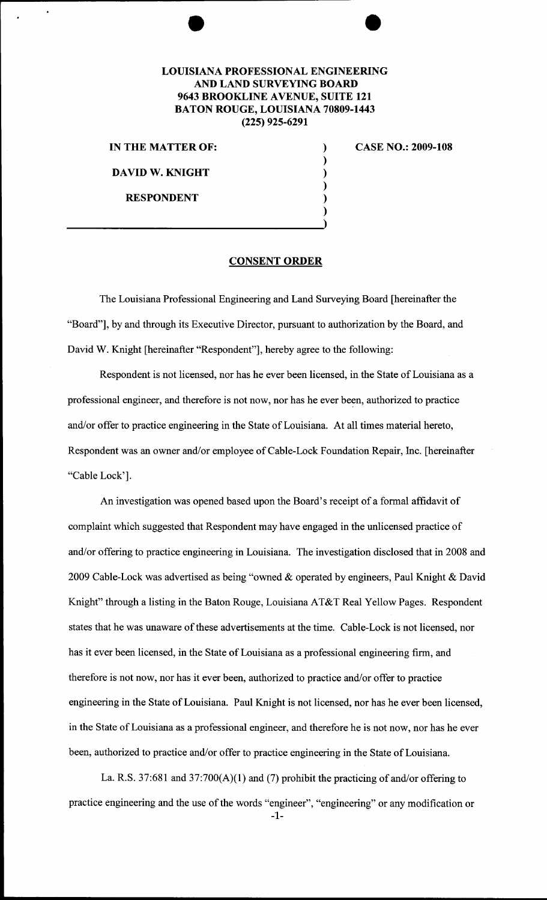## LOUISIANA PROFESSIONAL ENGINEERING AND LAND SURVEYING BOARD 9643 BROOKLINE AVENUE, SUITE 121 BATON ROUGE, LOUISIANA 70809-1443 (225) 925-6291

) ) ) ) )

IN THE MATTER OF:  $\qquad \qquad$ )

DAVID W. KNIGHT

RESPONDENT

CASE NO.: 2009-108

## CONSENT ORDER

The Louisiana Professional Engineering and Land Surveying Board [hereinafter the "Board"], by and through its Executive Director, pursuant to authorization by the Board, and David W. Knight [hereinafter "Respondent"], hereby agree to the following:

Respondent is not licensed, nor has he ever been licensed, in the State of Louisiana as a professional engineer, and therefore is not now, nor has he ever been, authorized to practice and/or offer to practice engineering in the State of Louisiana. At all times material hereto, Respondent was an owner and/or employee of Cable-Lock Foundation Repair, Inc. [hereinafter "Cable Lock'].

An investigation was opened based upon the Board's receipt of a formal affidavit of complaint which suggested that Respondent may have engaged in the unlicensed practice of and/or offering to practice engineering in Louisiana. The investigation disclosed that in 2008 and 2009 Cable-Lock was advertised as being "owned & operated by engineers, Paul Knight & David Knight" through a listing in the Baton Rouge, Louisiana AT&T Real Yellow Pages. Respondent states that he was unaware of these advertisements at the time. Cable-Lock is not licensed, nor has it ever been licensed, in the State of Louisiana as a professional engineering firm, and therefore is not now, nor has it ever been, authorized to practice and/or offer to practice engineering in the State of Louisiana. Paul Knight is not licensed, nor has he ever been licensed, in the State of Louisiana as a professional engineer, and therefore he is not now, nor has he ever been, authorized to practice and/or offer to practice engineering in the State of Louisiana.

La. R.S. 37:681 and 37:700(A)(l) and (7) prohibit the practicing of and/or offering to practice engineering and the use of the words "engineer", "engineering" or any modification or -1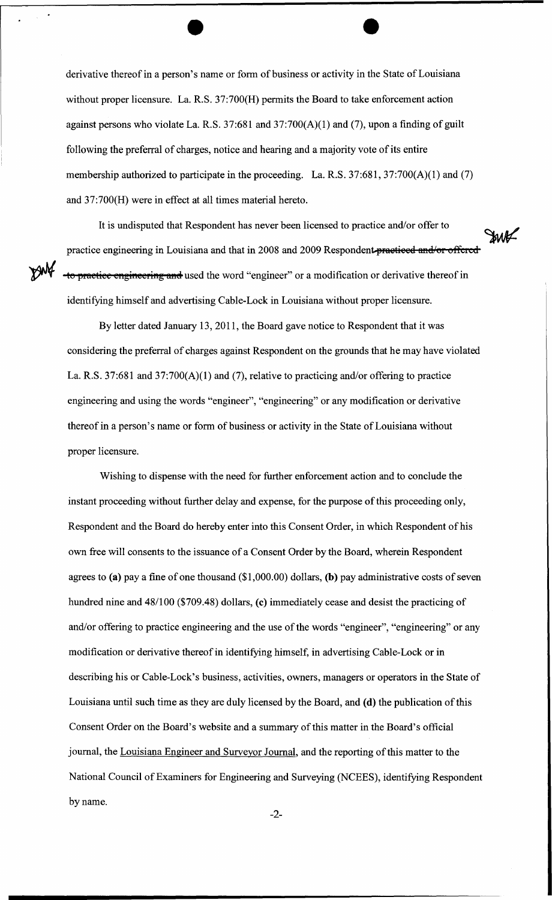derivative thereof in a person's name or form of business or activity in the State of Louisiana without proper licensure. La. R.S. 37:700(H) permits the Board to take enforcement action against persons who violate La. R.S. 37:681 and 37:700(A)(1) and (7), upon a finding of guilt following the preferral of charges, notice and hearing and a majority vote of its entire membership authorized to participate in the proceeding. La. R.S. 37:681, 37:700(A)(1) and (7) and 37:700(H) were in effect at all times material hereto.

It is undisputed that Respondent has never been licensed to practice and/or offer to practice engineering in Louisiana and that in 2008 and 2009 Respondent-practiced and/or offered to practice engineering and used the word "engineer" or a modification or derivative thereof in identifying himself and advertising Cable-Lock in Louisiana without proper licensure.

**JWK** 

By letter dated January 13, 2011, the Board gave notice to Respondent that it was considering the preferral of charges against Respondent on the grounds that he may have violated La. R.S. 37:681 and 37:700(A)(1) and (7), relative to practicing and/or offering to practice engineering and using the words "engineer", "engineering" or any modification or derivative thereof in a person's name or form of business or activity in the State of Louisiana without proper licensure.

Wishing to dispense with the need for further enforcement action and to conclude the instant proceeding without further delay and expense, for the purpose of this proceeding only, Respondent and the Board do hereby enter into this Consent Order, in which Respondent of his own free will consents to the issuance of a Consent Order by the Board, wherein Respondent agrees to **(a)** pay a fine of one thousand (\$1 ,000.00) dollars, **(b)** pay administrative costs of seven hundred nine and 48/100 (\$709.48) dollars, (c) immediately cease and desist the practicing of and/or offering to practice engineering and the use of the words "engineer", "engineering" or any modification or derivative thereof in identifying himself, in advertising Cable-Lock or in describing his or Cable-Lock's business, activities, owners, managers or operators in the State of Louisiana until such time as they are duly licensed by the Board, and **(d)** the publication of this Consent Order on the Board's website and a summary of this matter in the Board's official journal, the Louisiana Engineer and Surveyor Journal, and the reporting of this matter to the National Council of Examiners for Engineering and Surveying (NCEES), identifying Respondent by name.

-2-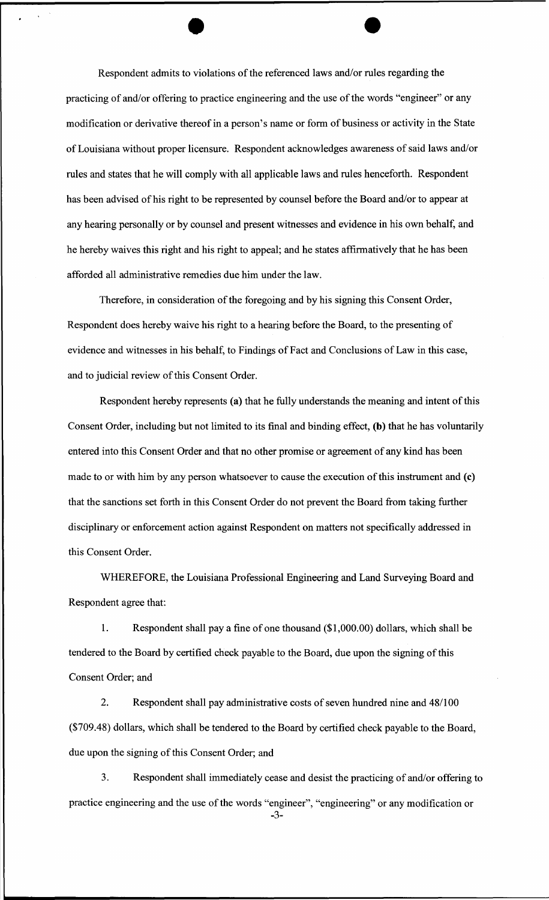Respondent admits to violations of the referenced laws and/or rules regarding the practicing of and/or offering to practice engineering and the use of the words "engineer" or any modification or derivative thereof in a person's name or form of business or activity in the State ofLouisiana without proper licensure. Respondent acknowledges awareness of said laws and/or rules and states that he will comply with all applicable laws and rules henceforth. Respondent has been advised of his right to be represented by counsel before the Board and/or to appear at any hearing personally or by counsel and present witnesses and evidence in his own behalf, and he hereby waives this right and his right to appeal; and he states affirmatively that he has been afforded all administrative remedies due him under the law.

Therefore, in consideration of the foregoing and by his signing this Consent Order, Respondent does hereby waive his right to a hearing before the Board, to the presenting of evidence and witnesses in his behalf, to Findings of Fact and Conclusions of Law in this case, and to judicial review of this Consent Order.

Respondent hereby represents (a) that he fully understands the meaning and intent of this Consent Order, including but not limited to its final and binding effect, (b) that he has voluntarily entered into this Consent Order and that no other promise or agreement of any kind has been made to or with him by any person whatsoever to cause the execution of this instrument and (c) that the sanctions set forth in this Consent Order do not prevent the Board from taking further disciplinary or enforcement action against Respondent on matters not specifically addressed in this Consent Order.

WHEREFORE, the Louisiana Professional Engineering and Land Surveying Board and Respondent agree that:

1. Respondent shall pay a fine of one thousand (\$1 ,000.00) dollars, which shall be tendered to the Board by certified check payable to the Board, due upon the signing of this Consent Order; and

2. Respondent shall pay administrative costs of seven hundred nine and 48/100 (\$709.48) dollars, which shall be tendered to the Board by certified check payable to the Board, due upon the signing of this Consent Order; and

3. Respondent shall immediately cease and desist the practicing of and/or offering to practice engineering and the use of the words "engineer", "engineering" or any modification or

-3-